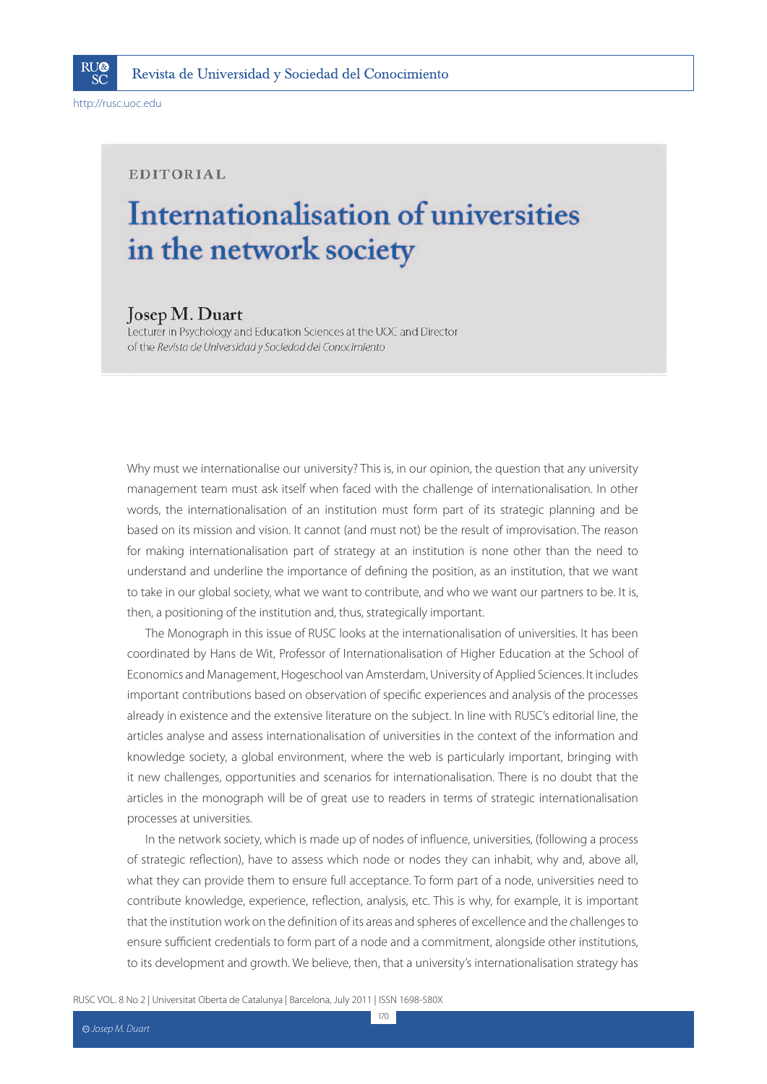

http://rusc.uoc.edu

## EDITORIAL

## Internationalisation of universities in the network society

## Josep M. Duart

Lecturer in Psychology and Education Sciences at the UOC and Director of the Revista de Universidad y Sociedad del Conocimiento

Why must we internationalise our university? This is, in our opinion, the question that any university management team must ask itself when faced with the challenge of internationalisation. In other words, the internationalisation of an institution must form part of its strategic planning and be based on its mission and vision. It cannot (and must not) be the result of improvisation. The reason for making internationalisation part of strategy at an institution is none other than the need to understand and underline the importance of defining the position, as an institution, that we want to take in our global society, what we want to contribute, and who we want our partners to be. It is, then, a positioning of the institution and, thus, strategically important.

The Monograph in this issue of RUSC looks at the internationalisation of universities. It has been coordinated by Hans de Wit, Professor of Internationalisation of Higher Education at the School of Economics and Management, Hogeschool van Amsterdam, University of Applied Sciences. It includes important contributions based on observation of specific experiences and analysis of the processes already in existence and the extensive literature on the subject. In line with RUSC's editorial line, the articles analyse and assess internationalisation of universities in the context of the information and knowledge society, a global environment, where the web is particularly important, bringing with it new challenges, opportunities and scenarios for internationalisation. There is no doubt that the articles in the monograph will be of great use to readers in terms of strategic internationalisation processes at universities.

In the network society, which is made up of nodes of influence, universities, (following a process of strategic reflection), have to assess which node or nodes they can inhabit, why and, above all, what they can provide them to ensure full acceptance. To form part of a node, universities need to contribute knowledge, experience, reflection, analysis, etc. This is why, for example, it is important that the institution work on the definition of its areas and spheres of excellence and the challenges to ensure sufficient credentials to form part of a node and a commitment, alongside other institutions, to its development and growth. We believe, then, that a university's internationalisation strategy has

RUSC VOL. 8 No 2 | Universitat Oberta de Catalunya | Barcelona, July 2011 | ISSN 1698-580X